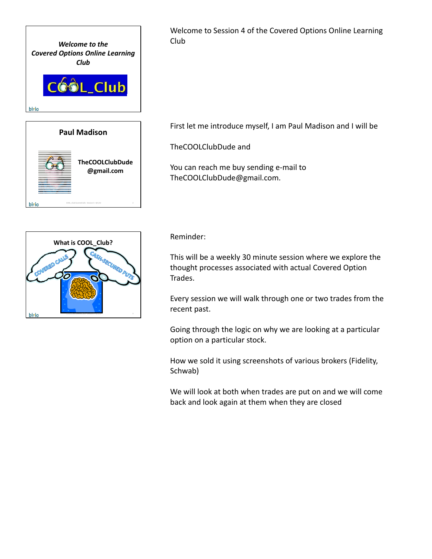

Welcome to Session 4 of the Covered Options Online Learning Club

First let me introduce myself, I am Paul Madison and I will be

TheCOOLClubDude and

You can reach me buy sending e‐mail to TheCOOLClubDude@gmail.com.



bivio

COOL\_Club Covered Calls - Session 4 - 8/1/12 2

Reminder:

This will be a weekly 30 minute session where we explore the thought processes associated with actual Covered Option Trades.

Every session we will walk through one or two trades from the recent past.

Going through the logic on why we are looking at a particular option on a particular stock.

How we sold it using screenshots of various brokers (Fidelity, Schwab)

We will look at both when trades are put on and we will come back and look again at them when they are closed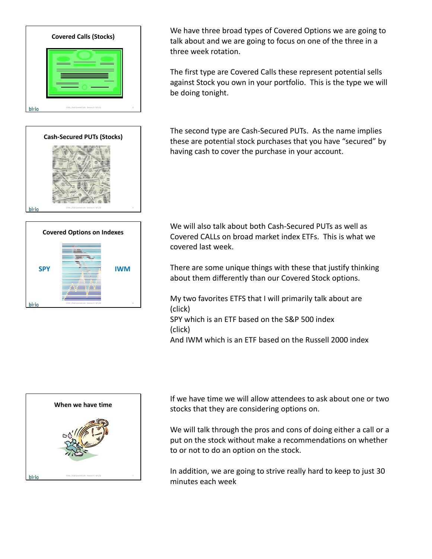





We have three broad types of Covered Options we are going to talk about and we are going to focus on one of the three in a three week rotation.

The first type are Covered Calls these represent potential sells against Stock you own in your portfolio. This is the type we will be doing tonight.

The second type are Cash‐Secured PUTs. As the name implies these are potential stock purchases that you have "secured" by having cash to cover the purchase in your account.

We will also talk about both Cash‐Secured PUTs as well as Covered CALLs on broad market index ETFs. This is what we covered last week.

There are some unique things with these that justify thinking about them differently than our Covered Stock options.

My two favorites ETFS that I will primarily talk about are (click)

SPY which is an ETF based on the S&P 500 index (click)

And IWM which is an ETF based on the Russell 2000 index



If we have time we will allow attendees to ask about one or two stocks that they are considering options on.

We will talk through the pros and cons of doing either a call or a put on the stock without make a recommendations on whether to or not to do an option on the stock.

In addition, we are going to strive really hard to keep to just 30 minutes each week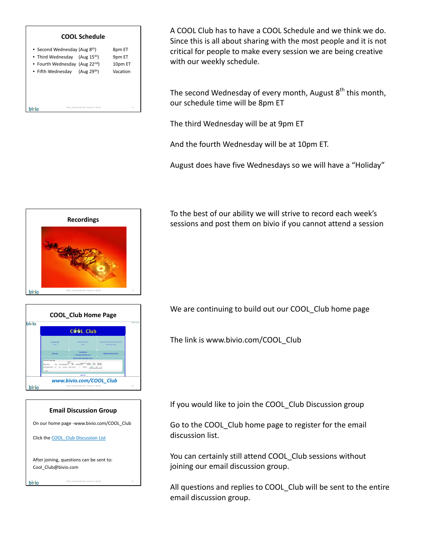

A COOL Club has to have a COOL Schedule and we think we do. Since this is all about sharing with the most people and it is not critical for people to make every session we are being creative with our weekly schedule.

The second Wednesday of every month, August  $8<sup>th</sup>$  this month, our schedule time will be 8pm ET

The third Wednesday will be at 9pm ET

And the fourth Wednesday will be at 10pm ET.

August does have five Wednesdays so we will have a "Holiday"



**COOL\_Club Home Page**

COOL Club

*www.bivio.com/COOL\_Club*

 $\lim_{t\to 0^+}\lim_{t\to 0^+}\lim_{t\to 0^+}\lim_{t\to 0^+}\lim_{t\to 0^+}$ 

**Email Discussion Group** On our home page ‐www.bivio.com/COOL\_Club

Click the COOL Club Discussion List

F.

After joining, questions can be sent to:

Cool\_Club@bivio.com

bivio

bivio

bivio

COOL\_Club Covered Calls ‐ Session 4 ‐ 8/1/12 10

COOL\_Club Covered Calls - Session 4 - 8/1/12 11 11

To the best of our ability we will strive to record each week's sessions and post them on bivio if you cannot attend a session

We are continuing to build out our COOL Club home page

The link is www.bivio.com/COOL\_Club

If you would like to join the COOL Club Discussion group

Go to the COOL Club home page to register for the email discussion list.

You can certainly still attend COOL\_Club sessions without joining our email discussion group.

All questions and replies to COOL Club will be sent to the entire email discussion group.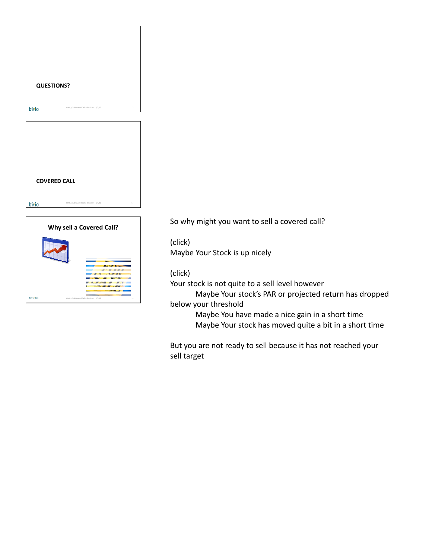|       | <b>QUESTIONS?</b>                             |    |
|-------|-----------------------------------------------|----|
|       |                                               |    |
|       |                                               |    |
| bivio | COOL, Club Covered Calls - Session 4 - 8/1/12 | 12 |
|       |                                               |    |
|       |                                               |    |
|       |                                               |    |
|       |                                               |    |
|       |                                               |    |
|       |                                               |    |
|       |                                               |    |
|       |                                               |    |
|       |                                               |    |
|       |                                               |    |
|       | <b>COVERED CALL</b>                           |    |
|       |                                               |    |



So why might you want to sell a covered call?

(click) Maybe Your Stock is up nicely

## (click)

Your stock is not quite to a sell level however

Maybe Your stock's PAR or projected return has dropped below your threshold

> Maybe You have made a nice gain in a short time Maybe Your stock has moved quite a bit in a short time

But you are not ready to sell because it has not reached your sell target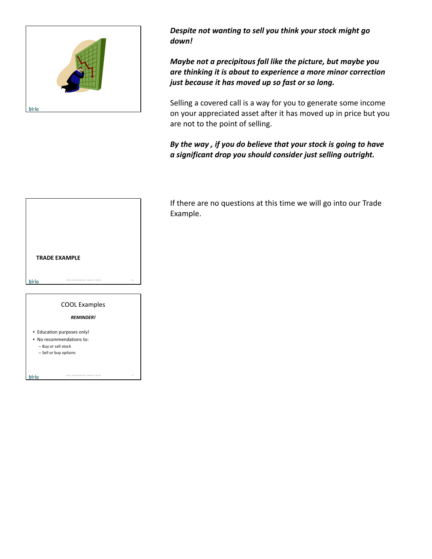

*Despite not wanting to sell you think your stock might go down!*

*Maybe not a precipitous fall like the picture, but maybe you are thinking it is about to experience a more minor correction just because it has moved up so fast or so long.*

Selling a covered call is a way for you to generate some income on your appreciated asset after it has moved up in price but you are not to the point of selling.

## *By the way , if you do believe that your stock is going to have a significant drop you should consider just selling outright.*



If there are no questions at this time we will go into our Trade Example.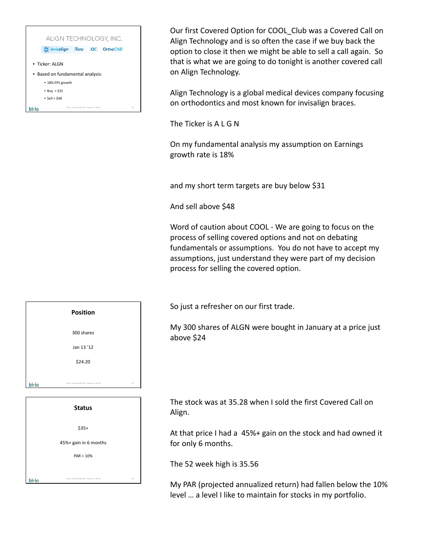

Our first Covered Option for COOL\_Club was a Covered Call on Align Technology and is so often the case if we buy back the option to close it then we might be able to sell a call again. So that is what we are going to do tonight is another covered call on Align Technology.

Align Technology is a global medical devices company focusing on orthodontics and most known for invisalign braces.

The Ticker is A L G N

On my fundamental analysis my assumption on Earnings growth rate is 18%

and my short term targets are buy below \$31

And sell above \$48

Word of caution about COOL ‐ We are going to focus on the process of selling covered options and not on debating fundamentals or assumptions. You do not have to accept my assumptions, just understand they were part of my decision process for selling the covered option.

So just a refresher on our first trade.

My 300 shares of ALGN were bought in January at a price just above \$24

The stock was at 35.28 when I sold the first Covered Call on Align.

At that price I had a 45%+ gain on the stock and had owned it for only 6 months.

The 52 week high is 35.56

My PAR (projected annualized return) had fallen below the 10% level … a level I like to maintain for stocks in my portfolio.

|       | <b>Position</b>                               |    |
|-------|-----------------------------------------------|----|
|       | 300 shares                                    |    |
|       | Jan 13 '12                                    |    |
|       | \$24.20                                       |    |
| bivio | COOL, Club Covered Calls - Session 4 - 8/1/12 | 19 |
|       | <b>Status</b>                                 |    |

| <b>Status</b>         |  |
|-----------------------|--|
| $$35+$                |  |
| 45%+ gain in 6 months |  |
| PAR < 10%             |  |
|                       |  |

bivio

COOL\_Club Covered Calls - Session 4 - 8/1/12 20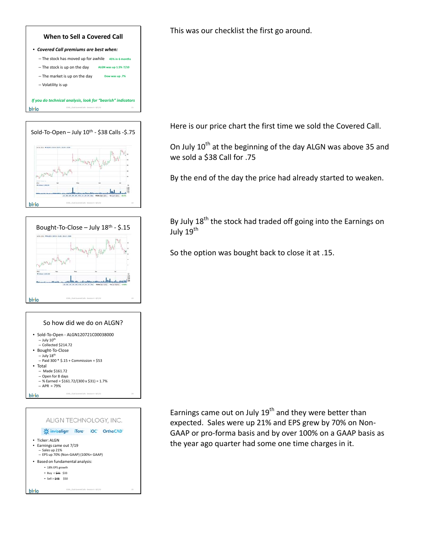





## So how did we do on ALGN?





This was our checklist the first go around.

Here is our price chart the first time we sold the Covered Call.

On July 10<sup>th</sup> at the beginning of the day ALGN was above 35 and we sold a \$38 Call for .75

By the end of the day the price had already started to weaken.

By July  $18<sup>th</sup>$  the stock had traded off going into the Earnings on July  $19^{th}$ 

So the option was bought back to close it at .15.

Earnings came out on July  $19<sup>th</sup>$  and they were better than expected. Sales were up 21% and EPS grew by 70% on Non‐ GAAP or pro‐forma basis and by over 100% on a GAAP basis as the year ago quarter had some one time charges in it.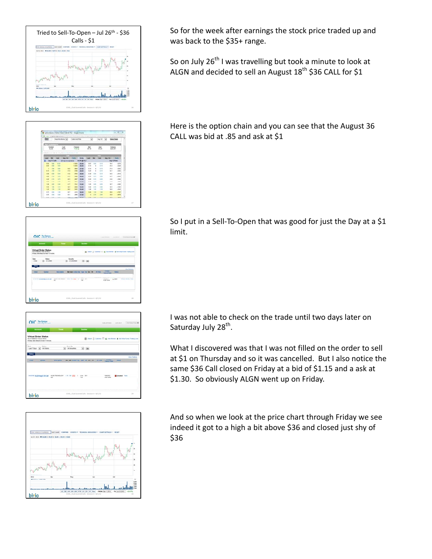

122211232111 **MENSISS** bivio COOL\_Club Covered Calls - Session 4 - 8/1/12 27

|              | OIC Belleton                                                                                                      |                                  |                                             |                                             |         | Link Jersey                   |                | And study  Like more track.                                |
|--------------|-------------------------------------------------------------------------------------------------------------------|----------------------------------|---------------------------------------------|---------------------------------------------|---------|-------------------------------|----------------|------------------------------------------------------------|
|              | <b>Bottman</b>                                                                                                    | Travel                           |                                             | Govern                                      |         |                               |                |                                                            |
|              | <b>Virtual Order Status</b><br>As at 100/201/12/20 10:40 \$1.<br>Intraders rising detected at leased 10 mountees. |                                  |                                             |                                             |         |                               |                | <b>20 cmm () custom CF @ Advertise # Addition/Template</b> |
|              | [a] in cross                                                                                                      |                                  | <b>Lecurity</b><br>w<br><b>ALCOHOL:</b>     | <b>SE</b>                                   |         |                               |                |                                                            |
| Station      |                                                                                                                   |                                  |                                             |                                             |         |                               |                | <b>View Realist</b>                                        |
| <b>TRIME</b> | <b>Supported</b>                                                                                                  | <b><i><u>Show change</u></i></b> |                                             | <b>But and Arthur Unit Tony Tax Sec 240</b> | The two | Elean I<br><b>Cancel Taxe</b> | <b>Tourist</b> |                                                            |
|              | <b>Service of Standards Inc., Dec.</b>                                                                            |                                  | man francisco - Los Cor Mile - R. Long. Box |                                             |         | Talenter of                   |                | and a company of the con-                                  |

OIC The Options tual Or **CO Dean C Culture C. C Ambiene B 4** Let70as a Moter  $\boxed{a}$  <br> (42 Securities  $\qquad \qquad \boxed{a}$  ) (de 1003016 bivio COOL\_Club Covered Calls - Session 4 - 8/1/12 29



So for the week after earnings the stock price traded up and was back to the \$35+ range.

So on July 26<sup>th</sup> I was travelling but took a minute to look at ALGN and decided to sell an August  $18<sup>th</sup>$  \$36 CALL for \$1

Here is the option chain and you can see that the August 36 CALL was bid at .85 and ask at \$1

So I put in a Sell-To-Open that was good for just the Day at a \$1 limit.

I was not able to check on the trade until two days later on Saturday July 28<sup>th</sup>.

What I discovered was that I was not filled on the order to sell at \$1 on Thursday and so it was cancelled. But I also notice the same \$36 Call closed on Friday at a bid of \$1.15 and a ask at \$1.30. So obviously ALGN went up on Friday.

And so when we look at the price chart through Friday we see indeed it got to a high a bit above \$36 and closed just shy of \$36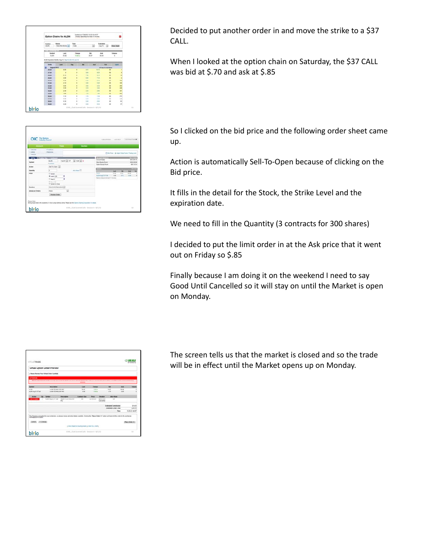|                                    | Option Chains for ALGN                                              |                           | Gundes as of 10/8/2012 10:20:15 AM ET | emader data delected at least 12 minutes.<br>Clinton show that you down the buildings was combined |                                          | o                            |
|------------------------------------|---------------------------------------------------------------------|---------------------------|---------------------------------------|----------------------------------------------------------------------------------------------------|------------------------------------------|------------------------------|
| Sumbol<br><b>ALSIN</b>             | Range<br><b>Total Red Roman (m)</b>                                 | Type<br>Calls             |                                       | $\left[ \bullet \right]$                                                                           | Expiration<br>T.<br>$\Delta_{\rm M2}$ V2 | <b>Varie Chase</b>           |
| <b>BESIDEN</b><br>Sembol<br>46.001 | Last<br>35.82                                                       | <b>Change</b><br>$-0.024$ |                                       | <b>Bo</b><br>35.87                                                                                 | Ank<br>34.94                             | <b>Villathe</b><br>$\sim$    |
|                                    | <b>ALON Expression Months, Aug 12 ( Fee 11) client 12 ( Jan 13)</b> |                           |                                       | Ask                                                                                                |                                          |                              |
| <b>SHINH</b><br>August 2012        | Last                                                                | Chg                       | ۰                                     |                                                                                                    | <b>Mag</b>                               | <b>Family</b>                |
| 26.96                              | 5.94                                                                | ٠                         | 8.98                                  | <b>16 la</b>                                                                                       | 20 days to expiration                    |                              |
| 27.36                              | ٠                                                                   | ٠                         | <b>BM</b>                             | 9.35                                                                                               |                                          |                              |
| 24.04                              | 6.36                                                                | ٠                         | $1 + 4$                               | 8.10                                                                                               | ÷                                        |                              |
| 26.56                              | <b>AM</b>                                                           | ٠                         | A-MI                                  | $2 - 11$                                                                                           | w                                        |                              |
| 38.046                             | K Mt                                                                | ٠                         | 5.30                                  | 4.14                                                                                               | w                                        | su.                          |
| 34.88                              | 4.58                                                                | ٠                         | 4.88                                  | 4.20                                                                                               | ×                                        | m                            |
| 32.89                              | $\bullet$                                                           | ٠                         | 8.72                                  | A'm                                                                                                | w                                        |                              |
| 33.86                              | <b>EM</b>                                                           | ٠                         | 316                                   | 648                                                                                                | m                                        | 星星                           |
| 34.88                              | 2 MI                                                                | ٠                         | 238                                   | <b>DM</b>                                                                                          | u                                        | 381                          |
| 39.00                              | <b>SME</b>                                                          | ٠                         | 176                                   | <b>Limit</b>                                                                                       | ÷                                        | $+1$                         |
| 54.86                              | 1.15                                                                | ٠                         | 1.15                                  | 1.36                                                                                               | 46                                       | m                            |
| 37.88                              | 5.88                                                                | $\overline{1}$            | 9.76                                  | 4.46                                                                                               | is.                                      | tal.                         |
|                                    | 8.36                                                                | ı                         | 0.46                                  | 4.34<br>$k \gg$                                                                                    | u                                        | $\mathbf{H}$<br>$\mathbf{u}$ |
| 38.86<br>39.88                     | 8.28                                                                | ٠                         | 1.27                                  |                                                                                                    | ×                                        |                              |

OIC **Britain**  $\overline{u} \equiv \overline{u} \equiv \overline{u} \equiv \overline{u} \equiv \overline{u} \equiv \overline{u} \equiv \overline{u}$ bivio COOL\_Club Covered Calls - Session 4 - 8/1/12 32 Decided to put another order in and move the strike to a \$37 CALL.

When I looked at the option chain on Saturday, the \$37 CALL was bid at \$.70 and ask at \$.85

So I clicked on the bid price and the following order sheet came up.

Action is automatically Sell‐To‐Open because of clicking on the Bid price.

It fills in the detail for the Stock, the Strike Level and the expiration date.

We need to fill in the Quantity (3 contracts for 300 shares)

I decided to put the limit order in at the Ask price that it went out on Friday so \$.85

Finally because I am doing it on the weekend I need to say Good Until Cancelled so it will stay on until the Market is open on Monday.

| VITUATEADE              |                                                |                                                                                                                                                                        |                |                  |                                |                             |       | <b>Cares</b>    |
|-------------------------|------------------------------------------------|------------------------------------------------------------------------------------------------------------------------------------------------------------------------|----------------|------------------|--------------------------------|-----------------------------|-------|-----------------|
|                         | Virtual Option Order Preview                   |                                                                                                                                                                        |                |                  |                                |                             |       |                 |
|                         | - Please Renter Your Vistual Driller Carefully |                                                                                                                                                                        |                |                  |                                |                             |       |                 |
| APPEARING               |                                                |                                                                                                                                                                        |                |                  |                                |                             |       |                 |
|                         |                                                | Please ween filtering to the awards (year at the UI will play and also at \$4.00 PM ET. The wine year at most plays will be a complete to the material market basing   | <b>BANKING</b> |                  |                                |                             |       |                 |
| <b>SMAKE</b>            | Enrorgance                                     |                                                                                                                                                                        | <b>Lase</b>    | Change           |                                | -                           | Are   |                 |
| ALCOHO                  | ALEN WORKS, NOV BY                             |                                                                                                                                                                        | 78.82          | 1114             |                                | 19.41                       | 16.06 |                 |
| ALCO Availability for   | ALMA RESINGUING FOR                            |                                                                                                                                                                        | <b>EXE</b>     | 3464             |                                | $+10$                       | $+14$ |                 |
| <b>Actor</b>            | <b>Sampus</b>                                  | Description                                                                                                                                                            | Contract Size  | Pres             | Detailest                      | At or None                  |       |                 |
| <b>Said Tra-Classes</b> | 4.5hi must 2.5f Sat                            | ALIGN TECHNOLOGY<br>$rac{1}{2}$                                                                                                                                        | 144            | <b>Sand Batt</b> | <b>Good Lines</b><br>Cancelled | $\sim$                      |       |                 |
|                         |                                                |                                                                                                                                                                        |                |                  |                                | <b>Estimated Commission</b> |       | \$14.95         |
|                         |                                                |                                                                                                                                                                        |                |                  |                                | Extension Center Tenal      |       | \$340.00        |
|                         |                                                |                                                                                                                                                                        |                |                  |                                |                             | Tene  | 10:05:21 AB ET  |
| Cancel (reChange)       |                                                | This Previous is provided by your protection, so please receive at order details carefully. Choose the "Pape Onder He" subset will transmit this order to the anchange |                |                  |                                |                             |       | Place Online HA |

The screen tells us that the market is closed and so the trade will be in effect until the Market opens up on Monday.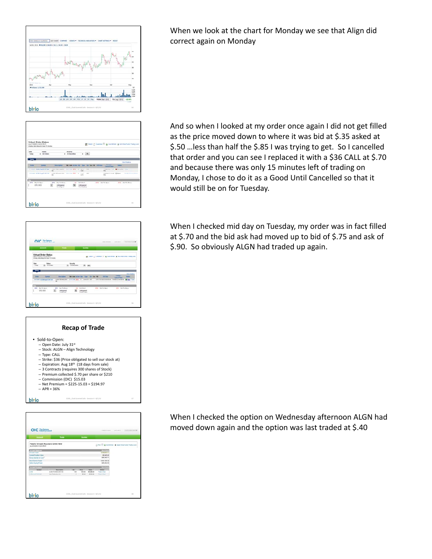







| Arround                                                                  | Trade                    |   | Questes |               |                                             |  |
|--------------------------------------------------------------------------|--------------------------|---|---------|---------------|---------------------------------------------|--|
| Paul's Virtual Account Overview<br>Are on Any Oblitz in sul list about ? |                          |   |         |               | (Line D'Anistatus: # Abd Had-Fedc Technical |  |
| <b>STEVEN CONTRACT</b>                                                   |                          |   |         |               | <b>The End</b>                              |  |
| <b>Account yes</b>                                                       |                          |   |         |               | <b>S106.885.11</b>                          |  |
| Conset Position Value                                                    |                          |   |         |               | \$3,945,00                                  |  |
| <b>Maked Bankers &amp; Cause<sup>7</sup></b>                             |                          |   |         |               | \$92,542.11                                 |  |
| <b>Stock Blunting Present</b>                                            |                          |   |         |               | \$151,705.30                                |  |
| <b>Opton Busing Power</b>                                                |                          |   |         |               | \$95,952.66                                 |  |
|                                                                          |                          |   |         |               | __                                          |  |
| <b>Revoluti</b>                                                          | Description              |   |         | <b>Mature</b> | <b>Building</b>                             |  |
| ALC:N                                                                    | al die fitzendulein bill |   | \$11.00 | \$10,000.00   | <b>Tuesday Chees</b>                        |  |
| as to average to take                                                    | Alley Taylorship by Inc. | × | \$4.40  | 19120-001     | Trade (Class) 11                            |  |

When we look at the chart for Monday we see that Align did correct again on Monday

And so when I looked at my order once again I did not get filled as the price moved down to where it was bid at \$.35 asked at \$.50 …less than half the \$.85 I was trying to get. So I cancelled that order and you can see I replaced it with a \$36 CALL at \$.70 and because there was only 15 minutes left of trading on Monday, I chose to do it as a Good Until Cancelled so that it would still be on for Tuesday.

When I checked mid day on Tuesday, my order was in fact filled at \$.70 and the bid ask had moved up to bid of \$.75 and ask of \$.90. So obviously ALGN had traded up again.

When I checked the option on Wednesday afternoon ALGN had moved down again and the option was last traded at \$.40